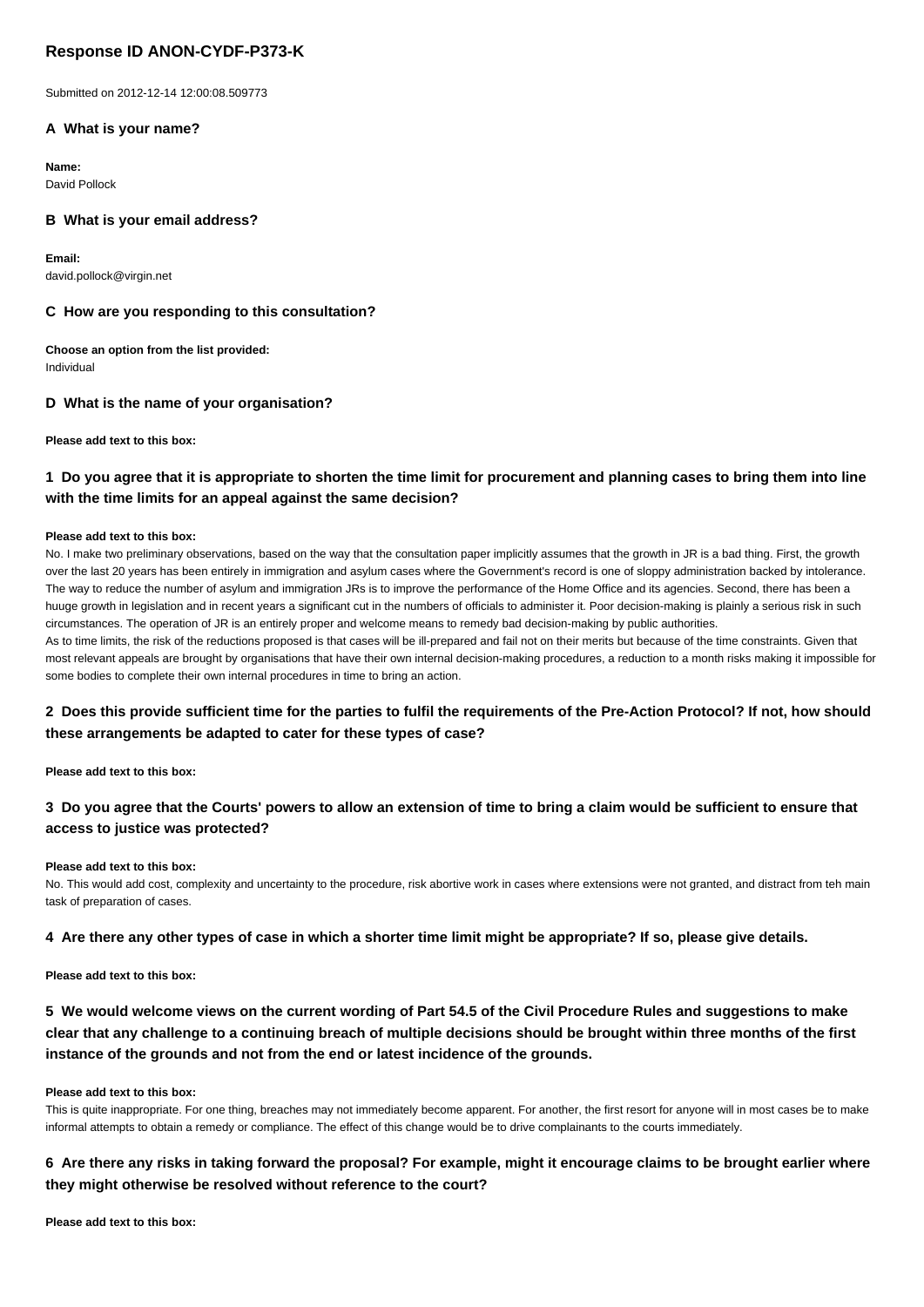# **Response ID ANON-CYDF-P373-K**

Submitted on 2012-12-14 12:00:08.509773

### **A What is your name?**

**Name:** David Pollock

### **B What is your email address?**

**Email:** david.pollock@virgin.net

#### **C How are you responding to this consultation?**

**Choose an option from the list provided:** Individual

#### **D What is the name of your organisation?**

**Please add text to this box:**

### **1 Do you agree that it is appropriate to shorten the time limit for procurement and planning cases to bring them into line with the time limits for an appeal against the same decision?**

#### **Please add text to this box:**

No. I make two preliminary observations, based on the way that the consultation paper implicitly assumes that the growth in JR is a bad thing. First, the growth over the last 20 years has been entirely in immigration and asylum cases where the Government's record is one of sloppy administration backed by intolerance. The way to reduce the number of asylum and immigration JRs is to improve the performance of the Home Office and its agencies. Second, there has been a huuge growth in legislation and in recent years a significant cut in the numbers of officials to administer it. Poor decision-making is plainly a serious risk in such circumstances. The operation of JR is an entirely proper and welcome means to remedy bad decision-making by public authorities.

As to time limits, the risk of the reductions proposed is that cases will be ill-prepared and fail not on their merits but because of the time constraints. Given that most relevant appeals are brought by organisations that have their own internal decision-making procedures, a reduction to a month risks making it impossible for some bodies to complete their own internal procedures in time to bring an action.

## **2 Does this provide sufficient time for the parties to fulfil the requirements of the Pre-Action Protocol? If not, how should these arrangements be adapted to cater for these types of case?**

**Please add text to this box:**

## **3 Do you agree that the Courts' powers to allow an extension of time to bring a claim would be sufficient to ensure that access to justice was protected?**

#### **Please add text to this box:**

No. This would add cost, complexity and uncertainty to the procedure, risk abortive work in cases where extensions were not granted, and distract from teh main task of preparation of cases.

#### **4 Are there any other types of case in which a shorter time limit might be appropriate? If so, please give details.**

**Please add text to this box:**

# **5 We would welcome views on the current wording of Part 54.5 of the Civil Procedure Rules and suggestions to make clear that any challenge to a continuing breach of multiple decisions should be brought within three months of the first instance of the grounds and not from the end or latest incidence of the grounds.**

#### **Please add text to this box:**

This is quite inappropriate. For one thing, breaches may not immediately become apparent. For another, the first resort for anyone will in most cases be to make informal attempts to obtain a remedy or compliance. The effect of this change would be to drive complainants to the courts immediately.

## **6 Are there any risks in taking forward the proposal? For example, might it encourage claims to be brought earlier where they might otherwise be resolved without reference to the court?**

**Please add text to this box:**